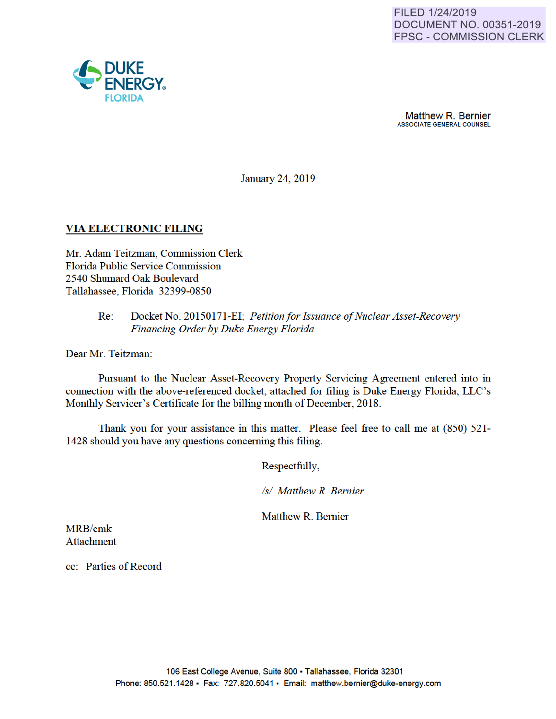

January 24, 2019

# **VIA ELECTRONIC FILING**

Mr. Adam Teitzman, Commission Clerk Florida Public Service Commission 2540 Shumard Oak Boulevard Tallahassee, Florida 32399-0850

### Re: Docket No. 20150171-EI; *Petition for Issuance of Nuclear Asset-Recovery Financing Order by Duke Energy Florida*

Dear Mr. Teitzman:

Pursuant to the Nuclear Asset-Recovery Property Servicing Agreement entered into in connection with the above-referenced docket, attached for filing is Duke Energy Florida, LLC's Monthly Servicer's Cettificate for the billing month of December, 2018.

Thank you for your assistance in this matter. Please feel free to call me at (850) 521- 1428 should you have any questions conceming this filing.

Respectfully,

*Is/ Matthew R. Bernier* 

Matthew R. Bemier

MRB/cmk Attachment

cc: Patties of Record

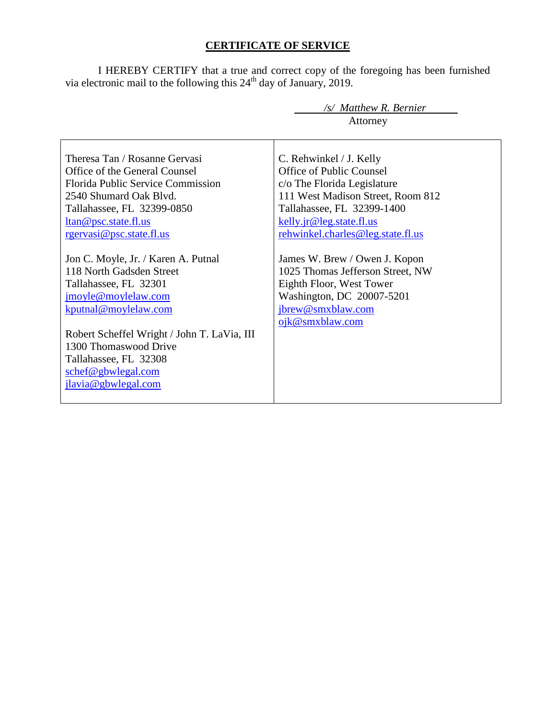# **CERTIFICATE OF SERVICE**

I HEREBY CERTIFY that a true and correct copy of the foregoing has been furnished via electronic mail to the following this  $24<sup>th</sup>$  day of January, 2019.

|                                                                                                                                                                                                                                                                                       | /s/ Matthew R. Bernier<br>Attorney                                                                                                                                                                                     |
|---------------------------------------------------------------------------------------------------------------------------------------------------------------------------------------------------------------------------------------------------------------------------------------|------------------------------------------------------------------------------------------------------------------------------------------------------------------------------------------------------------------------|
| Theresa Tan / Rosanne Gervasi<br>Office of the General Counsel<br><b>Florida Public Service Commission</b><br>2540 Shumard Oak Blvd.<br>Tallahassee, FL 32399-0850<br>ltan@psc.state.fl.us<br>rgervasi@psc.state.fl.us                                                                | C. Rehwinkel / J. Kelly<br>Office of Public Counsel<br>c/o The Florida Legislature<br>111 West Madison Street, Room 812<br>Tallahassee, FL 32399-1400<br>kelly.jr@leg.state.fl.us<br>rehwinkel.charles@leg.state.fl.us |
| Jon C. Moyle, Jr. / Karen A. Putnal<br>118 North Gadsden Street<br>Tallahassee, FL 32301<br>jmoyle@moylelaw.com<br>kputnal@moylelaw.com<br>Robert Scheffel Wright / John T. LaVia, III<br>1300 Thomaswood Drive<br>Tallahassee, FL 32308<br>schef@gbwlegal.com<br>jlavia@gbwlegal.com | James W. Brew / Owen J. Kopon<br>1025 Thomas Jefferson Street, NW<br>Eighth Floor, West Tower<br>Washington, DC 20007-5201<br>jbrew@smxblaw.com<br>ojk@smxblaw.com                                                     |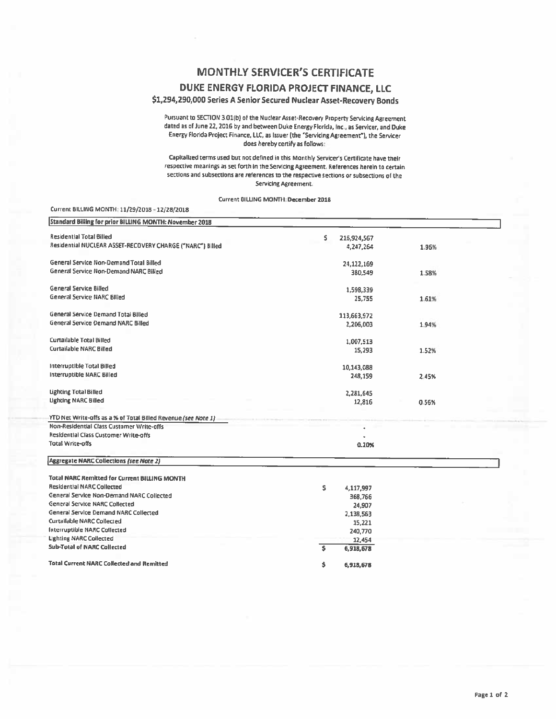## **MONTHLY SERVICER'S CERTIFICATE**

#### DUKE ENERGY FLORIDA PROJECT FINANCE, LLC

#### \$1,294,290,000 Series A Senior Secured Nuclear Asset-Recovery Bonds

Pursuant to SECTION 3.01(b) of the Nuclear Asset-Recovery Property Servicing Agreement dated as of June 22, 2016 by and between Duke Energy Florida, Inc., as Servicer, and Duke Energy Florida Project Finance, LLC, as Issuer (the "Servicing Agreement"), the Servicer does hereby certify as follows:

Capitalized terms used but not defined in this Monthly Servicer's Certificate have their respective meanings as set forth in the Servicing Agreement. References herein to certain sections and subsections are references to the respective sections or subsections of the Servicing Agreement.

Current BILLING MONTH: December 2018

#### Current BILLING MONTH: 11/29/2018 - 12/28/2018

| Standard Billing for prior BILLING MONTH: November 2018        |                    |       |  |
|----------------------------------------------------------------|--------------------|-------|--|
| Residential Total Billed                                       | \$.<br>216,924,567 |       |  |
| Residential NUCLEAR ASSET-RECOVERY CHARGE ("NARC") Billed      | 4,247,264          | 1.96% |  |
| General Service Non-Demand Total Billed                        | 24,122,169         |       |  |
| General Service Non-Demand NARC Billed                         | 380,549            | 1.58% |  |
| General Service Billed                                         | 1,598,339          |       |  |
| <b>General Service NARC Billed</b>                             | 25,755             | 1.61% |  |
| General Service Demand Total Billed                            | 113,663,972        |       |  |
| <b>General Service Demand NARC Billed</b>                      | 2,206,003          | 1.94% |  |
| <b>Curtailable Total Billed</b>                                | 1,007,513          |       |  |
| <b>Curtailable NARC Billed</b>                                 | 15,293             | 1.52% |  |
| Interruptible Total Billed                                     | 10,143,088         |       |  |
| Interruptible NARC Billed                                      | 248,159            | 2.45% |  |
| <b>Lighting Total Billed</b>                                   | 2,281,645          |       |  |
| <b>Lighting NARC Billed</b>                                    | 12,816             | 0.56% |  |
| YTD Net Write-offs as a % of Total Billed Revenue (see Note 1) |                    |       |  |
| Non-Residential Class Customer Write-offs                      |                    |       |  |
| Residential Class Customer Write-offs                          |                    |       |  |
| Total Write-offs                                               | 0.20%              |       |  |
| Aggregate NARC Collections (see Note 2)                        |                    |       |  |
| <b>Total NARC Remitted for Current BILLING MONTH</b>           |                    |       |  |
| <b>Residential NARC Collected</b>                              | Ś.<br>4,117,997    |       |  |
| General Service Non-Demand NARC Collected                      | 368,766            |       |  |
| <b>General Service NARC Collected</b>                          | 24,907             |       |  |
| <b>General Service Demand NARC Collected</b>                   | 2,138,563          |       |  |
| Curtailable NARC Collected                                     | 15,221             |       |  |
| Interruptible NARC Collected                                   | 240,770            |       |  |
| <b>Lighting NARC Collected</b>                                 | 12,454             |       |  |
| <b>Sub-Total of NARC Collected</b>                             | Ś<br>6,918,678     |       |  |
| <b>Total Current NARC Collected and Remitted</b>               | \$<br>6,918,678    |       |  |